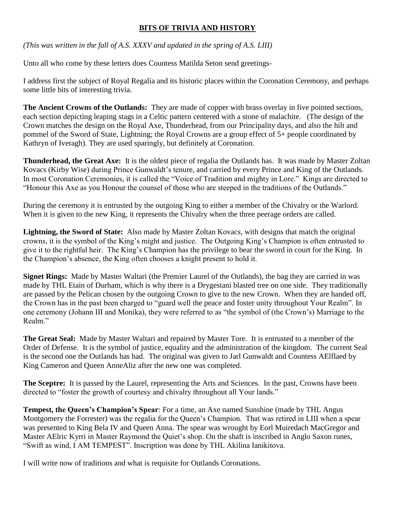## **BITS OF TRIVIA AND HISTORY**

*(This was written in the fall of A.S. XXXV and updated in the spring of A.S. LIII)*

Unto all who come by these letters does Countess Matilda Seton send greetings-

I address first the subject of Royal Regalia and its historic places within the Coronation Ceremony, and perhaps some little bits of interesting trivia.

**The Ancient Crowns of the Outlands:** They are made of copper with brass overlay in five pointed sections, each section depicting leaping stags in a Celtic pattern centered with a stone of malachite. (The design of the Crown matches the design on the Royal Axe, Thunderhead, from our Principality days, and also the hilt and pommel of the Sword of State, Lightning; the Royal Crowns are a group effect of 5+ people coordinated by Kathryn of Iveragh). They are used sparingly, but definitely at Coronation.

**Thunderhead, the Great Axe:** It is the oldest piece of regalia the Outlands has. It was made by Master Zoltan Kovacs (Kirby Wise) during Prince Gunwaldt's tenure, and carried by every Prince and King of the Outlands. In most Coronation Ceremonies, it is called the "Voice of Tradition and mighty in Lore." Kings are directed to "Honour this Axe as you Honour the counsel of those who are steeped in the traditions of the Outlands."

During the ceremony it is entrusted by the outgoing King to either a member of the Chivalry or the Warlord. When it is given to the new King, it represents the Chivalry when the three peerage orders are called.

**Lightning, the Sword of State:** Also made by Master Zoltan Kovacs, with designs that match the original crowns, it is the symbol of the King's might and justice. The Outgoing King's Champion is often entrusted to give it to the rightful heir. The King's Champion has the privilege to bear the sword in court for the King. In the Champion's absence, the King often chooses a knight present to hold it.

**Signet Rings:** Made by Master Waltari (the Premier Laurel of the Outlands), the bag they are carried in was made by THL Etain of Durham, which is why there is a Drygestani blasted tree on one side. They traditionally are passed by the Pelican chosen by the outgoing Crown to give to the new Crown. When they are handed off, the Crown has in the past been charged to "guard well the peace and foster unity throughout Your Realm". In one ceremony (Johann III and Monika), they were referred to as "the symbol of (the Crown's) Marriage to the Realm."

**The Great Seal:** Made by Master Waltari and repaired by Master Tore. It is entrusted to a member of the Order of Defense. It is the symbol of justice, equality and the administration of the kingdom. The current Seal is the second one the Outlands has had. The original was given to Jarl Gunwaldt and Countess AElflaed by King Cameron and Queen AnneAliz after the new one was completed.

**The Sceptre:** It is passed by the Laurel, representing the Arts and Sciences. In the past, Crowns have been directed to "foster the growth of courtesy and chivalry throughout all Your lands."

**Tempest, the Queen's Champion's Spear**: For a time, an Axe named Sunshine (made by THL Angus Montgomery the Forrester) was the regalia for the Queen's Champion. That was retired in LIII when a spear was presented to King Bela IV and Queen Anna. The spear was wrought by Eorl Muiredach MacGregor and Master AElric Kyrri in Master Raymond the Quiet's shop. On the shaft is inscribed in Anglo Saxon runes, "Swift as wind, I AM TEMPEST". Inscription was done by THL Akilina Ianikitova.

I will write now of traditions and what is requisite for Outlands Coronations.